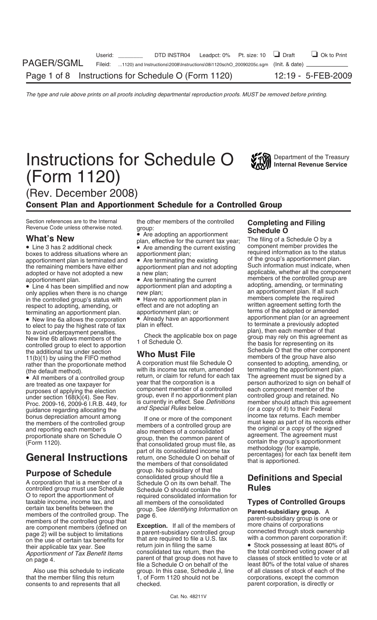## **Instructions for Schedule O Instructions**  $\frac{1}{2}$  **Instructions Instructions** (Form 1120)



(Rev. December 2008)

### Consent Plan and Apportionment Schedule for a Controlled Group

boxes to address situations where an apportionment plan;<br>apportionment plan is terminated and  $\bullet$  Are terminating the existing of the group's apportionment plan. the remaining members have either apportionment plan and not adopting

• Line 4 has been simplified and now apportionment plan and adopting a adopting, amending, or terminating only apportionment plan. If all such only applies when there is no change new plan;<br>in the controlled group's status with  $\bullet$  Have no apportionment plan in an apportionment plane the required in the controlled group's status with  $\bullet$  Have no apportionment plan in respect to adopting, amending, or effect and are not adopting an respect to adopting, amending, or effect and are not adopting an written agreement setting forth the terminating an apportionment plan. apportionment plan; or terms of the adopted or amended

11(b)(1) by using the FIFO method

purposes of a p. p.m. see Rev. group, even if no apportionment plan under section 168(k)(4). See Rev. group, even if no apportionment plan Proc. 2009-16, 2009-6 I.R.B. 449, for is currently in effect. See Definitions guidance regarding allocating the *and Special Rules* below. (or a copy of it) to their Federal<br>bonus depreciation amount among the one of the component income tax returns. Each member

controlled group must use Schedule Schedule O should contain the O to report the apportionment of required consolidated information O to report the apportionment of required consolidated information for<br>taxable income, income tax, and all members of the consolidated **Types of Controlled Groups**<br>certain tax benefits between the *aroup See Identifying In* certain tax benefits between the group. See *Identifying Information* on<br>
members of the controlled group. The page 6.<br>
members of the controlled group that<br>
are component members (defined on **Exception**. If all of the mem

- 
- 
- 
- 
- 

rather than the proportionate method<br>
(the default method). With its income tax return, amended<br>
• All members of a controlled group<br>
• All members of a controlled group<br>
• All members of a controlled group<br>
• All members purposes of applying the election component member of a controlled each component member of the under section 168(k)(4). See Rev. group, even if no apportionment plan controlled group and retained. No

**Purpose of Schedule**<br>
A corporation that is a member of a Schedule O on its own behalf. The<br>
controlled group must use Schedule O should contain the **Rules** 

From the use of certain tax benefits for that are required to file a U.S. tax with a common parent corporation it:<br>their applicable tax year. See return join in filing the same • Stock possessing at least 80% of their appl *Apportionment of Tax Benefit Items* consolidated tax return, then the the total combined voting power of all parent of that group does not have to classes of stock entitled to vote or at on page 4.<br>file a Schedule O on behalf of the least 80% of the total value of shares Also use this schedule to indicate group. In this case, Schedule J, line of all classes of stock of each of the that the member filing this return 1, of Form 1120 should not be corporations, except the common consents to and represents that all checked. parent corporation, is directly or

# Section references are to the Internal the other members of the controlled **Completing and Filing**<br>Revenue Code unless otherwise noted. group:<br>**What's New** extra the adopting an apportionment plan, effective for the curren

**EXECTE FILITE 19 FETT FILITE STATES INCH VALUST FILITE STATES FILITE 3** has 2 additional check  $\bullet$  Are amending the current existing component member provides the hoxes to address situations where an apportionment plan: apportionment plan is terminated and  $\bullet$  Are terminating the existing of the group's apportionment plan.<br>The remaining members have either apportionment plan and not adopting Such information must indicate, when adopted or have not adopted a new a new plan; and the component all the component apportionment plan.<br>• Are terminating the current members of the controlled group are<br>• Line 4 has been simplified and now apportionment plan and adopting a adopting, amending, or terminating terminating an apportionment plan. apportionment plan; or terms of the adopted or amended<br>• New line 6a allows the corporation • Already have an apportionment apportionment plan (or an agreement • New line 6a allows the corporation • Already have an apportionment apportionment plan (or an agreement to elect to pay the highest rate of tax plan in effect.<br>to avoid underpayment penalties. Check the applicable box on New line 6b allows members of the<br>
controlled group to elect to apportion<br>
the additional tax under section<br>
Manutus: Check the applicable box on page<br>
on the basis for representing on its<br>
Schedule O that the other compon the additional tax under section<br>
11(b)(1) by using the FIFO method<br> **Who Must File**<br> **Reserved to adopting, amending, or**<br> **Reserved to adopting, amending, or**<br> **Reserved to adopting, amending, or**<br> **Reserved to adopting,** • All members of a controlled group<br>are treated as one taxpayer for year that the corporation is a<br>person authorized to sign on behalf of<br>purposes of applying the election component member of a controlled each component me is currently in effect. See *Definitions* member should attach this agreement and Special Rules below. bonus depreciation amount among<br>the members of the controlled group<br>and reporting each member's<br>proportionate share on Schedule O<br>(Form 1120).<br>**General Instructions** the members of the consolidated<br>group, then the common p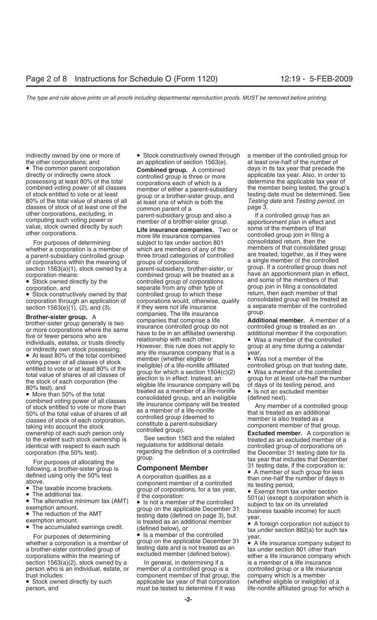• The common parent corporation **Combined group.** A combined days in its tax year that precede the directly or indirectly owns stock controlled group is three or more applicable tax year. Also, in order to classes of stock of at least one of the common parent of a page 3.<br>
other corporations, excluding, in parent-subsidiary group and also a ff a controlled group has an computing such voting power or walue, stock owned direct

For purposes of determining subject to tax under section 801 of corporations within the meaning of groups of corporations:

taking into account the stock<br>
ownership of each such person only<br>
to the extent such stock ownership is<br>
the extent such stock ownership is<br>
See section 1563 and the related<br>
treated as an excluded member of a

- 
- 
- 
- 

whether a corporation is a member of group on the applicable December 31 <br>a brother-sister controlled group of testing date and is not treated as an corporations within the meaning of excluded member (defined below).<br>Corpo section 1563(a)(2), stock owned by a In general, in determining if a is a member of a life insurance person who is an individual, estate, or member of a controlled group is a controlled group or a life insurance

indirectly owned by one or more of  $\bullet$  Stock constructively owned through a member of the controlled group for<br>the other corporations; and an application of section 1563(e). at least one-half of the number of an application of section 1563(e).

value, slock owned directly by such that the insurance companies. Two or some of the members of that other corporations.<br>
For purposes of determining subject to tax under section 801 consolidated return, then the whether a corporation is a member of which are members of any of the members of that consolidated group a parent-subsidiary controlled group three broad categories of controlled are treated, together, as if they were<br>of corporations within the meaning of groups of corporations:<br>a single member of the controlled section 1563(a)(1), stock owned by a parent-subsidiary, brother-sister, or group. If a controlled group does not<br>combined group will be treated as a have an apportionment plan in effect, corporation means: combined group will be treated as a have an apportionment plan in effective to combined group will be treated as a have an apportionment plan in effective has controlled group of corporations and some of • Stock owned directly by the controlled group of corporations and some of the members of that<br>corporation, and separate from any other type of group join in filing a consolidated corporation, and separate from any other type of group join in filing a consolidated<br>• Stock constructively owned by that controlled group to which these feturn, then each member of that ● Stock constructively owned by that controlled group to which these return, then each member of that controlled group will be treated as<br>corporation through an application of corporations would otherwise qualify consolid corporation through an application of corporations would, otherwise, qualify section 1563(e)(1), (2), and (3). if they were not life insurance  $\frac{1}{2}$  a separate member of the controlled **Example the state of the state of the companies.** The life insurance are the same of the companies that companies that companies that companies that companies that companies that companies that companies the same in stil of stock entitled to vote or more than<br>
Some of stock entitled to vote or more than<br>
Some of a life-nonlife insurance company will be treated Any member of a controlled group<br>
Some of the total value of shares of all<br>
cont classes of stock of each corporation, commoned group (deemed to member is also treated as a<br>taking into account the stock constitute a parent-subsidiary component member of that group.

to the extent such stock ownership is See section 1563 and the related treated as an excluded member of a<br>identical with respect to each such regulations for additional details controlled group of corporations on identical with respect to each such regulations for additional details controlled group of corporations on corporation (the 50% test). regarding the definition of a controlled the December 31 testing date for its<br>group. that year that includes that December

For purposes of allocating the<br>
following, a brother-sister group is<br>
defined using only the 50% test<br>
accomponent Member<br>
accomponent Member of such an one-half the number of such group<br>
accomponent member of a controlle

trust includes: component member of that group, the company which is a member • Stock owned directly by such applicable tax year of that corporation (whether eligible or ineligible) of a<br>person, and must be tested to determine if it was life-nonlife affiliated group for whic person, and must be tested to determine if it was life-nonlife affiliated group for which a

directly or indirectly owns stock<br>possessing at least 80% of the total<br>combined voting power of all classes<br>of stock entitled to vote or at least<br>of stock entitled to vote or at least<br>group or a brother-sister group, and<br>8

- 
- 

For purposes of determining vear,<br>For purposes of determining vear, effection is a member of the controlled<br>ether a corporation is a member of yroup on the applicable December 31 vear,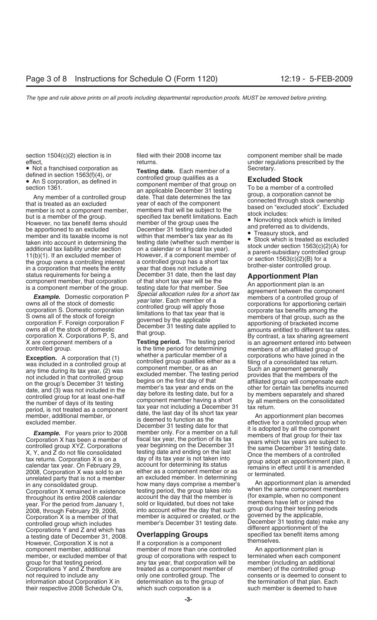• Not a franchised corporation as **Testing date.** Each member of a Secretary.<br> **Secretary.** defined in the section as defined in the controlled group qualifies as a **Excluded Stock** 

controlled group which includes member's December 31 testing date. December 31 testing date) man controlled group member's December 31 testing date. different apportionment of the Corporations Y and Z and which has<br>a testing date of December 31, 2008. **Overlapping Groups Overlapping Groups** specified tax benefit items among<br>a testing date of December 31, 2008. **Overlapping Groups** specified tax benefit items among However, Corporation X is not a  $\blacksquare$  If a corporation is a component component member, additional member of more than one controlled An apportionment plan is member, or excluded member of that group of corporations with respect to terminated when each component group for that testing period.  $\qquad \qquad \qquad$  any tax year, that corporation will be member (including an additional Corporations Y and Z therefore are treated as a component member of member) of the controlled group not required to include any only one controlled group. The consents or is deemed to consent to information about Corporation X in determination as to the group of the termination of that plan. Each their respective 2008 Schedule O's, which such corporation is a such member is deemed to have

The interval in section 1900), then the amendment member of that group qualifies as a **Excluded Stock**<br>
Any member of a controlled group in an applicable December 31 testing<br>
Any member of a controlled group date. That dat status requirements for being a<br>
component member, that corporation of that short tax year will be the<br>
is a component member of the group. testing date for that member. See<br> **Example.** Domestic corporation P<br>
Special allo

X are component members of a **Testing period.** The testing period is an agreement entered into between controlled group.<br>
is the time period for determining members of an affiliated group of controlled group to the time period for determining is the way included group of the spectrom. A corporation that (1) whether a particular member of a<br>
simulated in a controlled group at controlled group qualifies either a unrelated party that is not a member an excluded member. In determining<br>in any consolidated group. Thow many days comprise a member's An apportionment plan is amended<br>Corporation X remained in existence thesting period, th Corporation X remained in existence testing period, the group takes into when the same component members throu<br>throughout its entire 2008 calendar account the day that the member is (for example, when no component throughout its entire 2008 calendar<br>year. For the period from January 1, sold or liquidated, but does not take members have left or joined the<br>2008, through February 29, 2008, into account either the day that such group du 2008, through February 29, 2008, into account either the day that such group during their testing periods<br>Corporation X is a member of that member is acquired or created, or the governed by the applicable,<br>controlled group

section 1504(c)(2) election is in filed with their 2008 income tax component member shall be made effect, the contract of the returns. The contract of the contract of the contract of the contract of the contract of the contract of the contract of the contract of the contract of the contract of the contract of the contr

- 
- 
-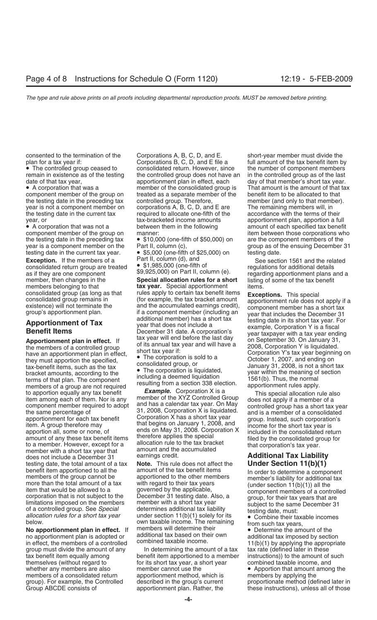the testing date in the preceding tax • \$10,000 (one-fifth of \$50,000) on are the component members of the testing date in the current tax year. • \$5,000 (one-fifth of \$25,000) on testing date.

**Exception.** If the members of a<br>
consolidated return group are treated <br>
as if they are one component (\$9,925,000) on Part II, column (e).<br>
as if they are one component (\$9,925,000) on Part II, column (e).<br>
as if they are

the members of a controlled group<br>have an apportionment plan in effect,<br>they must apportion the specified.<br>they must apportion the specified.<br>they must apportion the specified.<br>they must apportion the specified.<br>The corpor hey must apportionment plan in effect,<br>they must apportion the specified,<br>tax-benefit items, such as the tax<br>bracket amounts, according to the<br>terms of that plan. The component<br>members of a group are not required<br>terms of members of a group are not required<br>to apportion equally any tax benefit *Example.* Corporation X is a This special allocation rule also<br>item among each of them. Nor is any member of the XYZ Controlled Group does not apply the same percentage of the same percentage of the same percentage of the same percentage of the street of a consolidated apportionment for each tax benefit Corporation X has a short tax year group. Instead, such corporatio item. A group therefore may that begins on January 1, 2008, and income for the short tax year is<br>apportion all, some or none, of ends on May 31, 2008. Corporation X included in the consolidated ret amount of any these tax benefit items therefore applies the special filed by the consolidated group for to a member. However, except for a dilocation rule to the tax bracket that corporation's tax year.<br>member with a short member with a short tax year that amount and the does not include a December 31 does not include a December 31 earnings credit.<br>testing date, the total amount of a tax **Note.** This rule does not affect the **Under Section 11(b)(1)** testing date, the total amount of a tax **Note.** This rule does not affect benefit item apportioned to all the amount of the tax benefit items benefit item apportioned to all the amount of the tax benefit items<br>
members of the group cannot be apportioned to the other members<br>
item that would be allowed to a<br>
tiem that would be allowed to a<br>
corporation that is no

**No apportionment plan in effect.** If the members will determine their **order the amount of the section of the amount of the**<br>If a apportionment plan is adopted or additional tax based on their own no apportionment plan is adopted or additional tax based on their own additional tax imposed by section in effect, the members of a controlled combined taxable income.  $11(b)(1)$  by applying the appropriate group must divide the amount of any In determining the amount of a tax tax rate (defined later in these tax benefit item equally among benefit item apportioned to a member instructions)) to the amount of such themselves (without regard to for its short tax year, a short year combined taxable income, and whether any members are also member cannot use the • Apportion that amount among the members of a consolidated return apportionment method, which is members by applying the

consented to the termination of the Corporations A, B, C, D, and E. short-year member must divide the plan for a tax year if: Corporations B, C, D, and E file a full amount of the tax benefit item by • The controlled group ceased to consolidated return. However, since the number of component members remain in existence as of the testing the controlled group does not have an in the controlled group as of the last date of that tax year, apportionment plan in effect, each day of that member's short tax year. • A corporation that was a member of the consolidated group is That amount is the amount of that tax component member of the group on treated as a separate member of the sentile that treated as a separate member of the the testing date in the preceding tax controlled group. Therefore, member (and only to that member). year is not a component member on corporations A, B, C, D, and E are The remaining members will, in the testing date in the current tax required to allocate one-fifth of the accordance with the terms of their year, or tax-bracketed income amounts apportionment plan, apportion a full • A corporation that was not a between them in the following amount of each specified tax benefit component member of the group on manner: manner: item between those corporations who

member, then changes in the **Special allocation rules for a short** listing of some of the tax benefit members belonging to that **tax year.** Special apportionment items.<br>consolidated group (as long as that rules apply to certain tax benefit items  $F_{\text{year}}$ consolidated group (as long as that the samply to certain tax benefit items<br>consolidated group remains in (for example, the tax bracket amount<br>existence) will not terminate the and the accumulated earnings credit),<br>group's

item among each of them. Nor is any<br>component member required to adopt and has a calendar tax year. On May<br>the same percentage of 31, 2008, Corporation X is liquidated. and is a member of a consolidated ends on May 31, 2008. Corporation X included in the consolidated return<br>therefore applies the special in the consolidated group for

allocation rules for a short tax year under section  $11(0)(1)$  solely for its combine their taxable incomes<br>below. own taxable income. The remaining from such tax years,<br>No apportionment plan in effect if members will dete

Group ABCDE consists of apportionment plan. Rather, the these instructions), unless all of those

year is a component member on the Part II, column (c), example  $\frac{1}{2}$  aroup as of the ensuing December 31

group). For example, the Controlled described in the group's current proportionate method (defined later in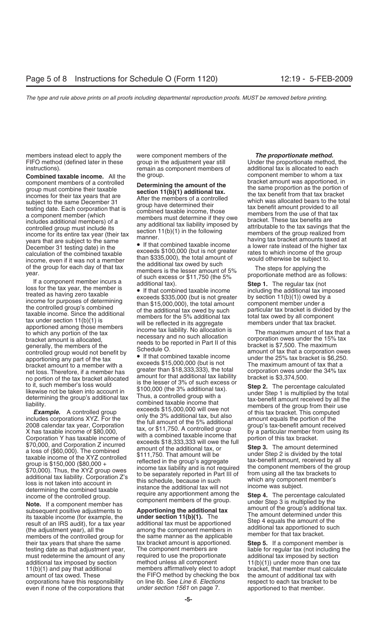members instead elect to apply the were component members of the *The proportionate method.* instructions). The remain as component members of additional tax is allocated to each remain as component members of

**Combined taxable income.** All the the group.<br>
component members of a controlled **potermining the amount of the** bracket amount was apportioned, in December 31 testing date) in the<br>calculation of the combined taxable<br>income, even if it was not a member<br>of the group for each day of that tax<br>the additional tax owed by such<br>wear<br>the steps for applying the<br>the steps for a

year.<br>
If a component member incurs a disturble consess or \$11,750 (the 5% proportionate method are as follows:<br>
If a component member incurs a dditional tax).<br>
It that combined taxable income<br>
income for purposes of deter bracket amount to a member with a exceeds \$15,000,000 (but is not the maximum amount of tax that a<br>het loss. Therefore if a member has greater than \$18,333,333), the total corporation owes under the 34% tax net loss. Therefore, if a member has greater than \$18,333,333), the total corporation owes under the state than  $\frac{1}{2}$  amount for that additional tax liability bracket is \$3,374,500.

no portion of the tax bracket allocated<br>
to portion of the tax bracket allocated<br>
to the tax bracket allocated is the lesser of 3% of such as the star of the star and the star of the star and the star and the star and the

their tax years that share the same tax bracket amount is apportioned. **Step 5.** If a component member is must redetermine the amount of any required to use the proportionate additional tax imposed by section additional tax imposed by section  $\qquad$  method unless all component  $\qquad$   $\qquad$  11(b)(1)) under more than one tax 11(b)(1) and pay that additional members affirmatively elect to adopt bracket, that member must calculate amount of tax owed. These the FIFO method by checking the box the amount of additional tax with corporations have this responsibility on line 6b. See *Line 6. Elections* respect to each tax bracket to be even if none of the corporations that *under section 1561* on page 7. **a**pportioned to that member.

FIFO method (defined later in these group in the adjustment year still Under the proportionate method, the component members of a controlled<br>group must combine their taxable<br>incomes for their tax years that are<br>subject to the same December 31<br>testing date. Each corporation that is<br>combined taxable income those<br>testing date. Eac date. Each corporation that is<br>a component members (which<br>includes additional members) of a<br>controlled group must include its<br>controlled group must include its<br>controlled group must include its<br>controlled group must includ controlled group must include its<br>income for its entire tax year (their tax<br>income for its entire tax year (their tax<br>income manner.<br> $\begin{array}{ccc}\n & \text{array}\n & \text{array}\n & \text{array}\n & \text{array}\n & \text{array}\n & \text{maximum}\n\end{array}$ <br>
Manner.<br>
December 31 testing

Controlled group would not benefit by<br>apportioning any part of the tax exceeds \$15,000,000 (but is not under the 25% tax bracket is \$6,250.<br>bracket amount to a member with a exceeds \$15,000,000 (but is not The maximum amo

Someone of the controlled group.<br> **Note.** If a component member has<br>
subsequent positive adjustments to<br>
its taxable income (for example, the<br>
result of an IRS audit), for a tax year<br>
(the adjustment year), all the<br>
member

testing date as that adjustment year, The component members are liable for regular tax (not including the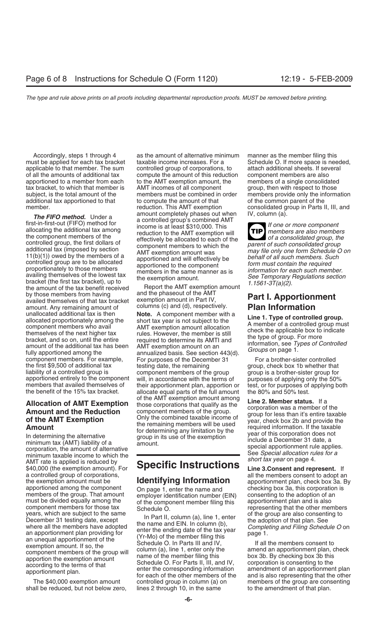controlled group, the first dollars of<br>additional tax (imposed by section<br>11(b)(1)) owed by the members of a<br>apportioned and will effectively be the senated by the members of a<br>controlled group are to be allegated apportio T1(b)(1)) owed by the members of a<br>
controlled group are to be allocated<br>
proportionately to those members<br>
apportioned and will effectively be<br>
apportioned to the component<br>
members in the same manner as is<br>
information f availing themselves of the lowest tax<br>bracket (the first tax bracket), up to the exemption amount.<br>the amount of the tax benefit received Report the AMT exemption amount  $1.1561-3T(a)(2)$ . by those members from having and the phaseout of the AMT **Part I. Apportionment**<br>availed themselves of that tax bracket exemption amount in Part IV, **Plan Information**<br>amount. Any remaining amount of columns (c) and (d), r amount. Any remaining amount of columns (c) and (d), respectively.<br>**Plane Interval Interval Interval Interval Interval Interval Interval Interval Interval Interval Interval Inter** unallocated additional tax is then **Note.** A component member with a<br>allocated proportionately among the short tax year is not subject to the component members who avail AMT exemption amount allocation<br>themselves of the ne component members. For example, For purposes of the December 31 For a brother-sister controlled<br>the first \$9,500 of additional tax testing date, the remaining group, check box 1b whether tha the first \$9,500 of additional tax testing date, the remaining eroup, check box 1b whether that<br>liability of a controlled group is component members of the group eroup is a brother-sister group for apportioned entirely to the component will, in accordance with the terms of purposes of applying only the 50% members that availed themselves of their apportionment plan, apportion or test, or for purposes of applying bo members that availed themselves of their apportionment plan, apportion or test, or for purposes of applying both<br>the benefit of the 15% tax bracket. allocate equal parts of the full amount the 80% and 50% test.

corporation, the amount of alternative<br>minimum taxable income to which the See *Special allocation rules for a*<br>AMT rate is applied is reduced by  $\overline{Q}$  and  $\overline{S}$ . Let a three at  $\overline{S}$  and  $\overline{S}$  and  $\overline{S}$  and *short tax year* on page 4. AMT rate is applied is reduced by \$40,000 (the exemption amount). For **Specific Instructions Line 3.Consent and represent.** If the exemption amount must be **Identifying Information**<br>apportioned among the component  $\sum_{n=0}^{\infty}$  3 and 3. By 3. By 3. By 3. By 3. By 3. By 3. By 3. By 3. By 3. By 3. By 3. By 3. By 3. By 3. By 3. By 3. By 3. By 3. By apportioned among the component On page 1, enter the name and checking box 3a, this corporation is<br>members of the group. That amount employer identification number (EIN) consenting to the adoption of an must be divided equally among the of the component member filing this component members for those tax  $\sum_{n=1}^{\infty}$  and  $\sum_{n=1}^{\infty}$ component members for those tax Schedule  $\overline{O}$ .<br>
years, which are subject to the same  $\overline{O}$  is Dart II, column (c) line 1, antes of the group are also consenting to vears, which are subject to the same<br>
December 31 testing date, except<br>
where all the members have adopted<br>
an apportionment plan providing for<br>
an apportionment plan providing for<br>
an apportionment plan providing for<br>
exe

shall be reduced, but not below zero, lines 2 through 10, in the same to the amendment of that plan.

Accordingly, steps 1 through 4 as the amount of alternative minimum manner as the member filing this applicable to that member. The sum controlled group of corporations, to attach additional sheets. If several of all the amounts of additional tax compute the amount of this reduction component members are also apportioned to a member from each to the AMT exemption amount, the members of a single consolidated tax bracket, to which that member is AMT incomes of all component group, then with respect to those additional tax apportioned to that to compute the amount of that of the common parent of the member. This AMT exemption consolidated group in Parts II, III, and member. **The FIFO method.** Under a<br>
first-in-first-out (FIFO) method for<br>
a controlled group's combined AMT<br>
income is at least \$310,000. This<br>
the component members of the component<br>
the component members of the component<br>
the co

component members of the group group is a brother-sister group for allocate equal parts of the full amount the 80% and 50% test.

employer identification number (EIN) consenting to the adoption of a<br>of the component member filing this apportionment plan and is also

must be applied for each tax bracket taxable income increases. For a Schedule O. If more space is needed, subject, is the total amount of the members must be combined in order members provide only the information

**TIP** members are also members

**Allocation of AMT Exemption** of the AMT exemption amount among<br> **Amount and the Reduction**<br> **Component members of the group.**<br> **Component and the Reduction**<br> **Component members of the group.**<br>
Only the combined taxable in

a controlled group of corporations,<br>
the exemption amount must be **Identifying Information** apportionment plan, check box 3a. By

The \$40,000 exemption amount controlled group in column (a) on members of the group are consenting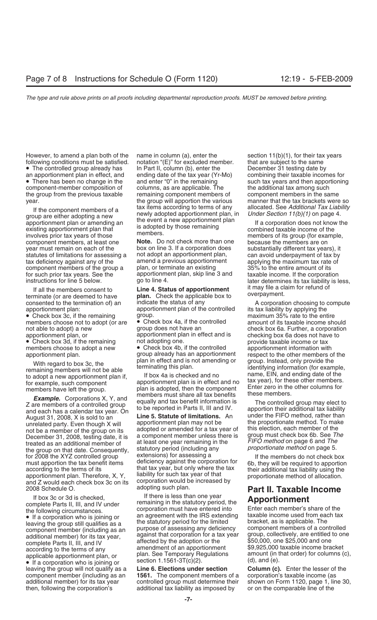However, to amend a plan both of the name in column (a), enter the section  $11(b)(1)$ , for their tax years following conditions must be satisfied. notation "(E)" for excluded member. that are subject to the same

If the component members of a<br>group are either adopting a new newly adopted apportionment plan, in Under Section 11(b)(1) on page 4.<br>apportionment plan or amending an the event a new apportionment plan<br>existing apportionme involves prior tax years of those the members.<br>
component members, at least one **Note.** Do not check more than one because the members are on<br>
vear must remain on each of the box on line 3. If a corporation does substantia year must remain on each of the box on line 3. If a corporation does substantially different tax years), it years is statutes of limitations for assessing a not adopt an apportionment plan, can avoid underpayment of tax by statutes of limitations for assessing a not adopt an apportionment plan, a can avoid underpayment of tax by<br>tax deficiency against any of the samend a previous apportionment applying the maximum tax rate of tax deficiency against any of the amend a previous apportionment applying the maximum tax rate of component members of the group a plan, or terminate an existing and a state amount of its component members of the group a plan, or terminate an existing 35% to the entire amount of its<br>
star such prior tax years. See the sapportionment plan, skip line 3 and starshle income. If the corporation for such prior tax years. See the apportionment plan, skip line 3 and taxable income. If the corporation<br>instructions for line 5 below. go to line 4.

• Check box 3c, if the remaining group.<br>
members choose not to adopt (or are **•** Check box 4a, if the controlled amount of its taxable income sho members choose not to adopt (or are  $\bullet$  Check box 4a, if the controlled amount of its taxable income should<br>not able to adopt) a new group does not have an check box 6a. Further, a corporation not able to adopt) a new group does not have an check box 6a. Further, a corporation

• Check box 3d, if the remaining not adopting one. provide taxable income or tax<br>members choose to adopt a new • Check box 4b, if the controlled apportionment information with

**Example.** Corporations X, Y, and<br>
Z are members of a controlled group<br>
and each has a calendar tax year. On<br>
August 31, 2008, X is sold to an<br>
unrelated party. Even though X will<br>
not be a member of the group on its<br>
abo treated as an additional member of at least one year remaining in the *FIFO method* on page 6 and *The*<br>the group on that date. Consequently, statutory period (including any *proportionate method* on page 5.<br>for 2008 the X for 2008 the XYZ controlled group extensions) for assessing a The members do not check box<br>must apportion the tax benefit items deficiency against the corporation for  $\overline{6}b$ , they will be required to apportion must apportion the tax benefit items deficiency against the corporation for 6b, they will be required to apportion according to the terms of its that tax year, but only where the tax their additional tax liability using th apportionment plan. Therefore, X, Y, and interpret tax year of that proportionate method of allocation.<br>and Z would each check box 3c on its corporation would be increased by and Z would each check box 3c on its corporation would b<br>2008 Schedule O. adopting such plan.

If there is less than one year<br>
complete Parts II, III, and IV under<br>
the following circumstances.<br>
the following circumstances corporation must have entered into<br>
the acorporation who is joining or<br>
an agreement with the

• The controlled group already has In Part II, column (b), enter the December 31 testing date by an apportionment plan in effect, and ending date of the tax year (Yr-Mo) combining their taxable incomes for • There has been no change in the and enter "0" in the remaining such tax years and then apportioning component-member composition of columns, as are applicable. The the additional tax among such the group from the previous taxable remaining component members of component members in the same

If all the members consent to **Line 4. Status of apportionment** it may file a claim for refund of terminate (or are deemed to have **plan.** Check the applicable box to consented to the termination of) an indicate the status apportionment plan: apportionment plan of the controlled its tax liability by applying the

apportionment plan, or apportionment plan in effect and is checking box 6a does not have to<br>• Check box 3d, if the remaining not adopting one.<br>• provide taxable income or tax

• Check box 4b, if the controlled apportionment plan. group already has an apportionment respect to the other members of the

that tax year, but only where the tax their additional tax liability using the liability for such tax year of that proportionate method of allocation

leaving the group will not qualify as a **Line 6. Elections under section Column (c).** Enter the lesser of the component member (including as an **1561.** The component members of a corporation's taxable income (as then, following the corporation's additional tax liability as imposed by or on the comparable line of the

year. the group will apportion the various manner that the tax brackets were so

instructions for line 5 below. go to line 4. later determines its tax liability is less,

consented to the termination of) an indicate the status of any entity and A corporation choosing to compute With regard to box 3c, the plan in effect and is not amending or group. Instead, only provide the terminating this plan.<br>
remaining members will not be able the terminating this plan. 
identifying information (for example, Framewhere the state of the state of the state of the state of the state of the state of the state of the state of the state of the state of the state of the state of the state of the state of the state of the state and th

# opting such plan.<br>If there is less than one year<br>**Annoutionment**

additional member) for its tax year controlled group must determine their shown on Form 1120, page 1, line 30,